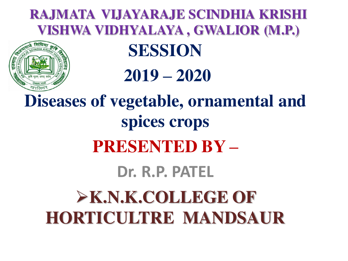#### **RAJMATA VIJAYARAJE SCINDHIA KRISHI VISHWA VIDHYALAYA , GWALIOR (M.P.)**



### **SESSION**

#### **2019 – 2020**

# **Diseases of vegetable, ornamental and spices crops PRESENTED BY – Dr. R.P. PATEL EX.N.K.COLLEGE OF HORTICULTRE MANDSAUR**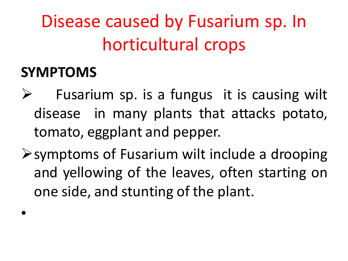Disease caused by Fusarium sp. In horticultural crops

#### **SYMPTOMS**

•

- Fusarium sp. is a fungus it is causing wilt disease in many plants that attacks potato, tomato, eggplant and pepper.
- $\triangleright$  symptoms of Fusarium wilt include a drooping and yellowing of the leaves, often starting on one side, and stunting of the plant.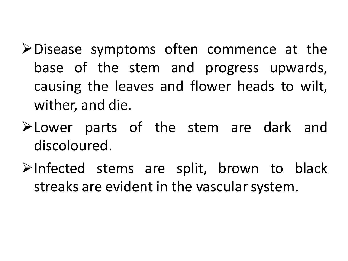- $\triangleright$  Disease symptoms often commence at the base of the stem and progress upwards, causing the leaves and flower heads to wilt, wither, and die.
- **Example 2** Lower parts of the stem are dark and discoloured.
- $\triangleright$ Infected stems are split, brown to black streaks are evident in the vascular system.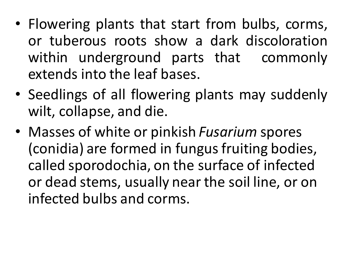- Flowering plants that start from bulbs, corms, or tuberous roots show a dark discoloration within underground parts that commonly extends into the leaf bases.
- Seedlings of all flowering plants may suddenly wilt, collapse, and die.
- Masses of white or pinkish *Fusarium* spores (conidia) are formed in fungus fruiting bodies, called sporodochia, on the surface of infected or dead stems, usually near the soil line, or on infected bulbs and corms.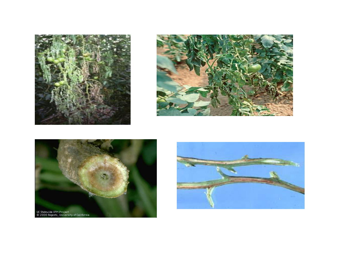





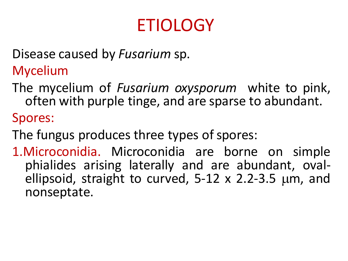## ETIOLOGY

Disease caused by *Fusarium* sp.

Mycelium

The mycelium of *Fusarium oxysporum* white to pink, often with purple tinge, and are sparse to abundant.

Spores:

The fungus produces three types of spores:

1.Microconidia. Microconidia are borne on simple phialides arising laterally and are abundant, ovalellipsoid, straight to curved,  $5-12 \times 2.2-3.5 \mu m$ , and nonseptate.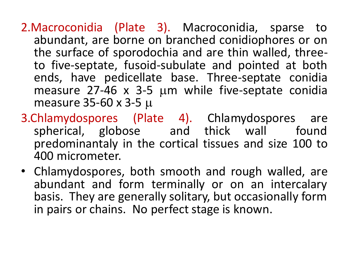2.Macroconidia (Plate 3). Macroconidia, sparse to abundant, are borne on branched conidiophores or on the surface of sporodochia and are thin walled, threeto five-septate, fusoid-subulate and pointed at both ends, have pedicellate base. Three-septate conidia measure  $27-46$  x 3-5  $\mu$ m while five-septate conidia measure 35-60 x 3-5

- 3.Chlamydospores (Plate 4). Chlamydospores are spherical, globose and thick wall found predominantaly in the cortical tissues and size 100 to 400 micrometer.
- Chlamydospores, both smooth and rough walled, are abundant and form terminally or on an intercalary basis. They are generally solitary, but occasionally form in pairs or chains. No perfect stage is known.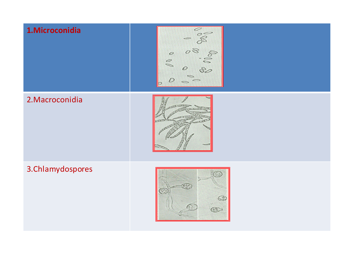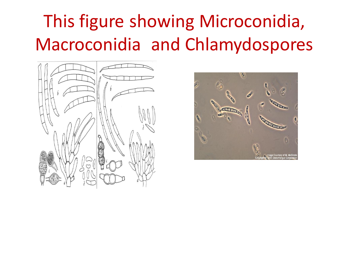## This figure showing Microconidia, Macroconidia and Chlamydospores



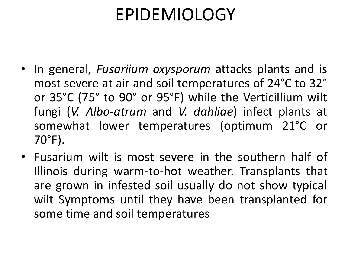### EPIDEMIOLOGY

- In general, *Fusariium oxysporum* attacks plants and is most severe at air and soil temperatures of 24°C to 32° or 35°C (75° to 90° or 95°F) while the Verticillium wilt fungi (*V. Albo-atrum* and *V. dahliae*) infect plants at somewhat lower temperatures (optimum 21°C or 70°F).
- Fusarium wilt is most severe in the southern half of Illinois during warm-to-hot weather. Transplants that are grown in infested soil usually do not show typical wilt Symptoms until they have been transplanted for some time and soil temperatures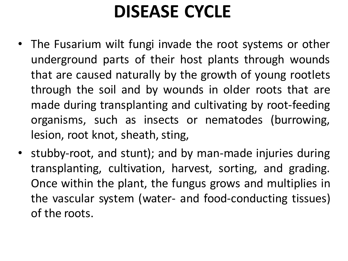## **DISEASE CYCLE**

- The Fusarium wilt fungi invade the root systems or other underground parts of their host plants through wounds that are caused naturally by the growth of young rootlets through the soil and by wounds in older roots that are made during transplanting and cultivating by root-feeding organisms, such as insects or nematodes (burrowing, lesion, root knot, sheath, sting,
- stubby-root, and stunt); and by man-made injuries during transplanting, cultivation, harvest, sorting, and grading. Once within the plant, the fungus grows and multiplies in the vascular system (water- and food-conducting tissues) of the roots.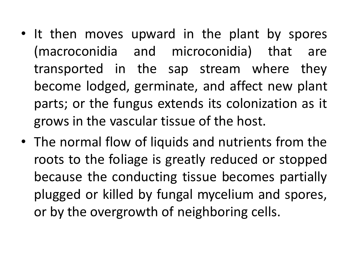- It then moves upward in the plant by spores (macroconidia and microconidia) that are transported in the sap stream where they become lodged, germinate, and affect new plant parts; or the fungus extends its colonization as it grows in the vascular tissue of the host.
- The normal flow of liquids and nutrients from the roots to the foliage is greatly reduced or stopped because the conducting tissue becomes partially plugged or killed by fungal mycelium and spores, or by the overgrowth of neighboring cells.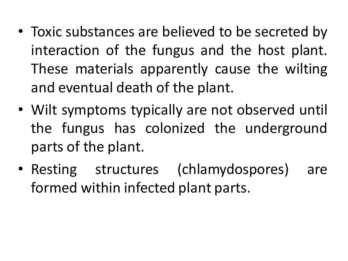- Toxic substances are believed to be secreted by interaction of the fungus and the host plant. These materials apparently cause the wilting and eventual death of the plant.
- Wilt symptoms typically are not observed until the fungus has colonized the underground parts of the plant.
- Resting structures (chlamydospores) are formed within infected plant parts.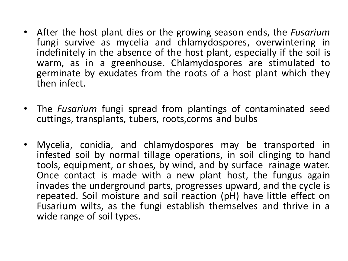- After the host plant dies or the growing season ends, the *Fusarium*  fungi survive as mycelia and chlamydospores, overwintering in indefinitely in the absence of the host plant, especially if the soil is warm, as in a greenhouse. Chlamydospores are stimulated to germinate by exudates from the roots of a host plant which they then infect.
- The *Fusarium* fungi spread from plantings of contaminated seed cuttings, transplants, tubers, roots,corms and bulbs
- Mycelia, conidia, and chlamydospores may be transported in infested soil by normal tillage operations, in soil clinging to hand tools, equipment, or shoes, by wind, and by surface rainage water. Once contact is made with a new plant host, the fungus again invades the underground parts, progresses upward, and the cycle is repeated. Soil moisture and soil reaction (pH) have little effect on Fusarium wilts, as the fungi establish themselves and thrive in a wide range of soil types.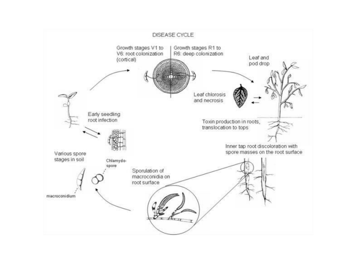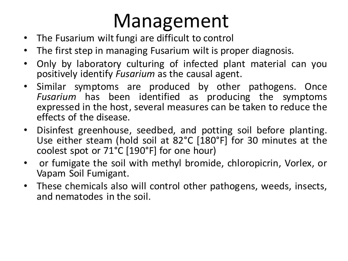# Management

- The Fusarium wilt fungi are difficult to control
- The first step in managing Fusarium wilt is proper diagnosis.
- Only by laboratory culturing of infected plant material can you positively identify *Fusarium* as the causal agent.
- Similar symptoms are produced by other pathogens. Once *Fusarium* has been identified as producing the symptoms expressed in the host, several measures can be taken to reduce the effects of the disease.
- Disinfest greenhouse, seedbed, and potting soil before planting. Use either steam (hold soil at 82°C [180°F] for 30 minutes at the coolest spot or 71°C [190°F] for one hour)
- or fumigate the soil with methyl bromide, chloropicrin, Vorlex, or Vapam Soil Fumigant.
- These chemicals also will control other pathogens, weeds, insects, and nematodes in the soil.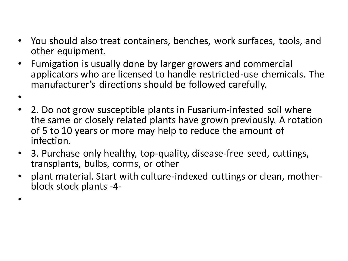- You should also treat containers, benches, work surfaces, tools, and other equipment.
- Fumigation is usually done by larger growers and commercial applicators who are licensed to handle restricted-use chemicals. The manufacturer's directions should be followed carefully.
- •
- 2. Do not grow susceptible plants in Fusarium-infested soil where the same or closely related plants have grown previously. A rotation of 5 to 10 years or more may help to reduce the amount of infection.
- 3. Purchase only healthy, top-quality, disease-free seed, cuttings, transplants, bulbs, corms, or other
- plant material. Start with culture-indexed cuttings or clean, motherblock stock plants -4-
- •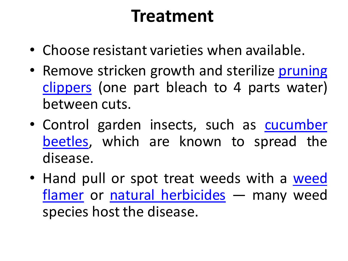#### **Treatment**

- Choose resistant varieties when available.
- Remove stricken growth and sterilize pruning [clippers](http://www.planetnatural.com/product-category/growing-indoors/grow-rooms/pruning-tools-snips/) (one part bleach to 4 parts water) between cuts.
- Control garden insects, such as [cucumber](http://www.planetnatural.com/pest-problem-solver/garden-pests/cucumber-beetle-control/)  [beetles,](http://www.planetnatural.com/pest-problem-solver/garden-pests/cucumber-beetle-control/) which are known to spread the disease.
- Hand pull or spot treat weeds with a weed [flamer](http://www.planetnatural.com/product/mini-dragon-torch-kit/) or [natural herbicides](http://www.planetnatural.com/product-category/organic-gardening/lawn-landscape/weed-control/) - many weed species host the disease.